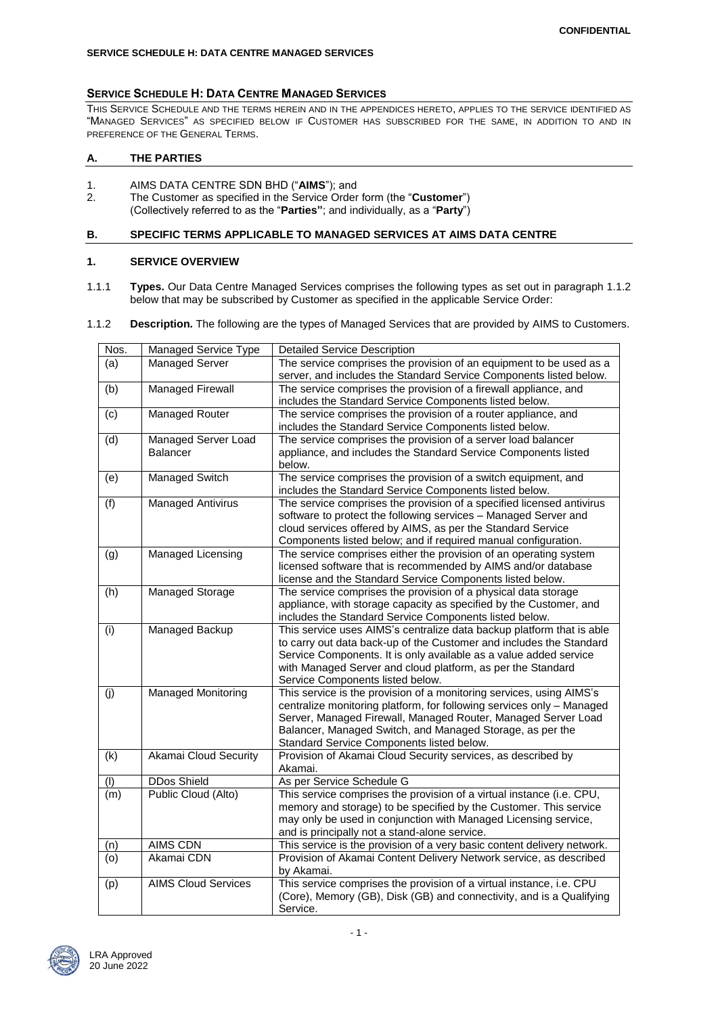#### **SERVICE SCHEDULE H: DATA CENTRE MANAGED SERVICES**

## **SERVICE SCHEDULE H: DATA CENTRE MANAGED SERVICES**

THIS SERVICE SCHEDULE AND THE TERMS HEREIN AND IN THE APPENDICES HERETO, APPLIES TO THE SERVICE IDENTIFIED AS "MANAGED SERVICES" AS SPECIFIED BELOW IF CUSTOMER HAS SUBSCRIBED FOR THE SAME, IN ADDITION TO AND IN PREFERENCE OF THE GENERAL TERMS.

## **A. THE PARTIES**

- 1. AIMS DATA CENTRE SDN BHD ("**AIMS**"); and
- 2. The Customer as specified in the Service Order form (the "**Customer**") (Collectively referred to as the "**Parties"**; and individually, as a "**Party**")

## **B. SPECIFIC TERMS APPLICABLE TO MANAGED SERVICES AT AIMS DATA CENTRE**

## **1. SERVICE OVERVIEW**

1.1.1 **Types.** Our Data Centre Managed Services comprises the following types as set out in paragraph 1.1.2 below that may be subscribed by Customer as specified in the applicable Service Order:

## 1.1.2 **Description.** The following are the types of Managed Services that are provided by AIMS to Customers.

| Nos. | Managed Service Type       | <b>Detailed Service Description</b>                                                                                                          |  |  |
|------|----------------------------|----------------------------------------------------------------------------------------------------------------------------------------------|--|--|
| (a)  | <b>Managed Server</b>      | The service comprises the provision of an equipment to be used as a                                                                          |  |  |
|      |                            | server, and includes the Standard Service Components listed below.                                                                           |  |  |
| (b)  | Managed Firewall           | The service comprises the provision of a firewall appliance, and                                                                             |  |  |
|      |                            | includes the Standard Service Components listed below.                                                                                       |  |  |
| (c)  | <b>Managed Router</b>      | The service comprises the provision of a router appliance, and                                                                               |  |  |
|      |                            | includes the Standard Service Components listed below.                                                                                       |  |  |
| (d)  | Managed Server Load        | The service comprises the provision of a server load balancer                                                                                |  |  |
|      | <b>Balancer</b>            | appliance, and includes the Standard Service Components listed                                                                               |  |  |
|      |                            | below.                                                                                                                                       |  |  |
| (e)  | Managed Switch             | The service comprises the provision of a switch equipment, and                                                                               |  |  |
|      |                            | includes the Standard Service Components listed below.                                                                                       |  |  |
| (f)  | <b>Managed Antivirus</b>   | The service comprises the provision of a specified licensed antivirus                                                                        |  |  |
|      |                            | software to protect the following services - Managed Server and                                                                              |  |  |
|      |                            | cloud services offered by AIMS, as per the Standard Service                                                                                  |  |  |
|      |                            | Components listed below; and if required manual configuration.                                                                               |  |  |
| (g)  | <b>Managed Licensing</b>   | The service comprises either the provision of an operating system                                                                            |  |  |
|      |                            | licensed software that is recommended by AIMS and/or database                                                                                |  |  |
|      |                            | license and the Standard Service Components listed below.                                                                                    |  |  |
| (h)  | Managed Storage            | The service comprises the provision of a physical data storage                                                                               |  |  |
|      |                            | appliance, with storage capacity as specified by the Customer, and                                                                           |  |  |
|      | <b>Managed Backup</b>      | includes the Standard Service Components listed below.                                                                                       |  |  |
| (i)  |                            | This service uses AIMS's centralize data backup platform that is able<br>to carry out data back-up of the Customer and includes the Standard |  |  |
|      |                            |                                                                                                                                              |  |  |
|      |                            | Service Components. It is only available as a value added service<br>with Managed Server and cloud platform, as per the Standard             |  |  |
|      |                            | Service Components listed below.                                                                                                             |  |  |
| (j)  | <b>Managed Monitoring</b>  | This service is the provision of a monitoring services, using AIMS's                                                                         |  |  |
|      |                            | centralize monitoring platform, for following services only - Managed                                                                        |  |  |
|      |                            | Server, Managed Firewall, Managed Router, Managed Server Load                                                                                |  |  |
|      |                            | Balancer, Managed Switch, and Managed Storage, as per the                                                                                    |  |  |
|      |                            | Standard Service Components listed below.                                                                                                    |  |  |
| (k)  | Akamai Cloud Security      | Provision of Akamai Cloud Security services, as described by                                                                                 |  |  |
|      |                            | Akamai.                                                                                                                                      |  |  |
| (1)  | <b>DDos Shield</b>         | As per Service Schedule G                                                                                                                    |  |  |
| (m)  | Public Cloud (Alto)        | This service comprises the provision of a virtual instance (i.e. CPU,                                                                        |  |  |
|      |                            | memory and storage) to be specified by the Customer. This service                                                                            |  |  |
|      |                            | may only be used in conjunction with Managed Licensing service,                                                                              |  |  |
|      |                            | and is principally not a stand-alone service.                                                                                                |  |  |
| (n)  | <b>AIMS CDN</b>            | This service is the provision of a very basic content delivery network.                                                                      |  |  |
| (0)  | Akamai CDN                 | Provision of Akamai Content Delivery Network service, as described                                                                           |  |  |
|      |                            | by Akamai.                                                                                                                                   |  |  |
| (p)  | <b>AIMS Cloud Services</b> | This service comprises the provision of a virtual instance, i.e. CPU                                                                         |  |  |
|      |                            | (Core), Memory (GB), Disk (GB) and connectivity, and is a Qualifying                                                                         |  |  |
|      |                            | Service.                                                                                                                                     |  |  |

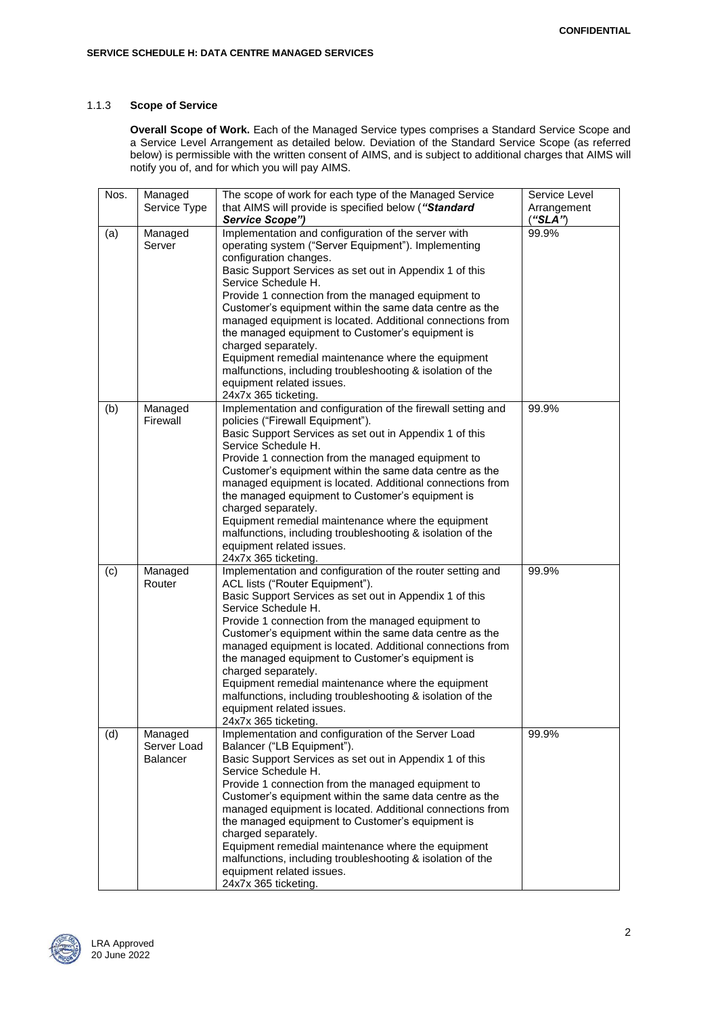## 1.1.3 **Scope of Service**

**Overall Scope of Work.** Each of the Managed Service types comprises a Standard Service Scope and a Service Level Arrangement as detailed below. Deviation of the Standard Service Scope (as referred below) is permissible with the written consent of AIMS, and is subject to additional charges that AIMS will notify you of, and for which you will pay AIMS.

| Nos. | Managed         | The scope of work for each type of the Managed Service       | Service Level |
|------|-----------------|--------------------------------------------------------------|---------------|
|      | Service Type    | that AIMS will provide is specified below ("Standard         | Arrangement   |
|      |                 | Service Scope")                                              | ("SLA")       |
| (a)  | Managed         | Implementation and configuration of the server with          | 99.9%         |
|      | Server          | operating system ("Server Equipment"). Implementing          |               |
|      |                 | configuration changes.                                       |               |
|      |                 | Basic Support Services as set out in Appendix 1 of this      |               |
|      |                 | Service Schedule H.                                          |               |
|      |                 | Provide 1 connection from the managed equipment to           |               |
|      |                 | Customer's equipment within the same data centre as the      |               |
|      |                 | managed equipment is located. Additional connections from    |               |
|      |                 | the managed equipment to Customer's equipment is             |               |
|      |                 | charged separately.                                          |               |
|      |                 | Equipment remedial maintenance where the equipment           |               |
|      |                 | malfunctions, including troubleshooting & isolation of the   |               |
|      |                 | equipment related issues.                                    |               |
|      |                 | 24x7x 365 ticketing.                                         |               |
| (b)  | Managed         | Implementation and configuration of the firewall setting and | 99.9%         |
|      | Firewall        | policies ("Firewall Equipment").                             |               |
|      |                 | Basic Support Services as set out in Appendix 1 of this      |               |
|      |                 | Service Schedule H.                                          |               |
|      |                 | Provide 1 connection from the managed equipment to           |               |
|      |                 | Customer's equipment within the same data centre as the      |               |
|      |                 | managed equipment is located. Additional connections from    |               |
|      |                 | the managed equipment to Customer's equipment is             |               |
|      |                 | charged separately.                                          |               |
|      |                 | Equipment remedial maintenance where the equipment           |               |
|      |                 | malfunctions, including troubleshooting & isolation of the   |               |
|      |                 | equipment related issues.                                    |               |
|      |                 | 24x7x 365 ticketing.                                         |               |
| (c)  | Managed         | Implementation and configuration of the router setting and   | 99.9%         |
|      | Router          | ACL lists ("Router Equipment").                              |               |
|      |                 | Basic Support Services as set out in Appendix 1 of this      |               |
|      |                 | Service Schedule H.                                          |               |
|      |                 | Provide 1 connection from the managed equipment to           |               |
|      |                 | Customer's equipment within the same data centre as the      |               |
|      |                 | managed equipment is located. Additional connections from    |               |
|      |                 | the managed equipment to Customer's equipment is             |               |
|      |                 | charged separately.                                          |               |
|      |                 | Equipment remedial maintenance where the equipment           |               |
|      |                 | malfunctions, including troubleshooting & isolation of the   |               |
|      |                 | equipment related issues.                                    |               |
|      |                 | 24x7x 365 ticketing.                                         |               |
| (d)  | Managed         | Implementation and configuration of the Server Load          | 99.9%         |
|      | Server Load     | Balancer ("LB Equipment").                                   |               |
|      | <b>Balancer</b> | Basic Support Services as set out in Appendix 1 of this      |               |
|      |                 | Service Schedule H.                                          |               |
|      |                 | Provide 1 connection from the managed equipment to           |               |
|      |                 | Customer's equipment within the same data centre as the      |               |
|      |                 | managed equipment is located. Additional connections from    |               |
|      |                 | the managed equipment to Customer's equipment is             |               |
|      |                 | charged separately.                                          |               |
|      |                 | Equipment remedial maintenance where the equipment           |               |
|      |                 | malfunctions, including troubleshooting & isolation of the   |               |
|      |                 | equipment related issues.                                    |               |
|      |                 | 24x7x 365 ticketing.                                         |               |

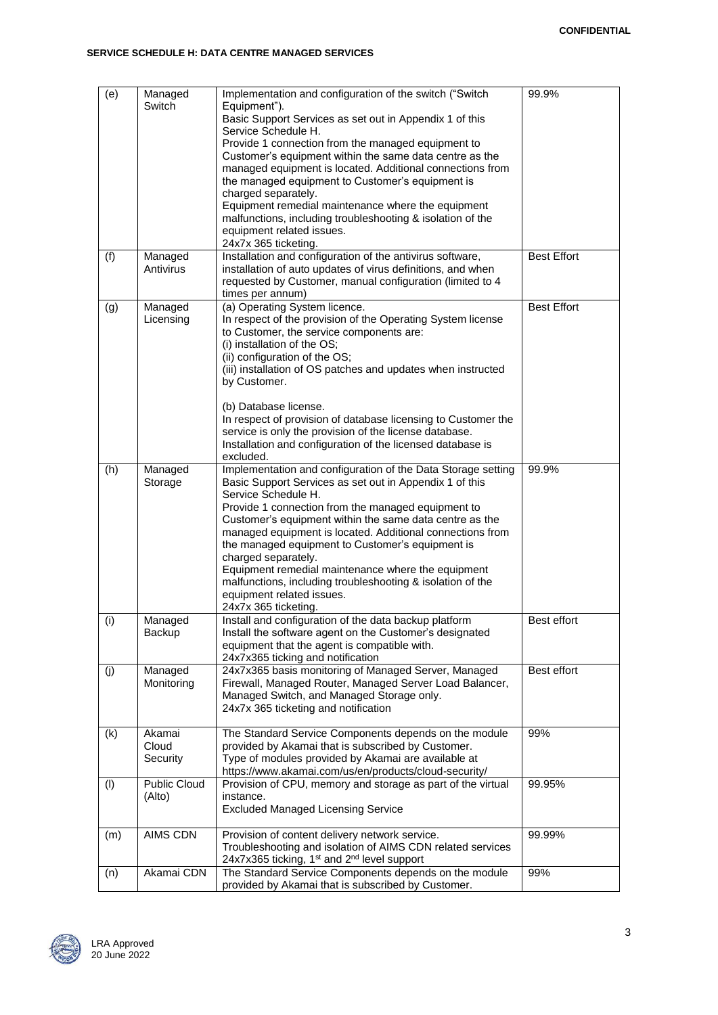| (e) | Managed<br>Switch             | Implementation and configuration of the switch ("Switch<br>Equipment").<br>Basic Support Services as set out in Appendix 1 of this<br>Service Schedule H.<br>Provide 1 connection from the managed equipment to<br>Customer's equipment within the same data centre as the<br>managed equipment is located. Additional connections from<br>the managed equipment to Customer's equipment is<br>charged separately.<br>Equipment remedial maintenance where the equipment<br>malfunctions, including troubleshooting & isolation of the<br>equipment related issues.<br>24x7x 365 ticketing. | 99.9%              |
|-----|-------------------------------|---------------------------------------------------------------------------------------------------------------------------------------------------------------------------------------------------------------------------------------------------------------------------------------------------------------------------------------------------------------------------------------------------------------------------------------------------------------------------------------------------------------------------------------------------------------------------------------------|--------------------|
| (f) | Managed<br>Antivirus          | Installation and configuration of the antivirus software,<br>installation of auto updates of virus definitions, and when<br>requested by Customer, manual configuration (limited to 4<br>times per annum)                                                                                                                                                                                                                                                                                                                                                                                   | <b>Best Effort</b> |
| (g) | Managed<br>Licensing          | (a) Operating System licence.<br>In respect of the provision of the Operating System license<br>to Customer, the service components are:<br>(i) installation of the OS;<br>(ii) configuration of the OS;<br>(iii) installation of OS patches and updates when instructed<br>by Customer.<br>(b) Database license.<br>In respect of provision of database licensing to Customer the<br>service is only the provision of the license database.<br>Installation and configuration of the licensed database is<br>excluded.                                                                     | <b>Best Effort</b> |
| (h) | Managed<br>Storage            | Implementation and configuration of the Data Storage setting<br>Basic Support Services as set out in Appendix 1 of this<br>Service Schedule H.<br>Provide 1 connection from the managed equipment to<br>Customer's equipment within the same data centre as the<br>managed equipment is located. Additional connections from<br>the managed equipment to Customer's equipment is<br>charged separately.<br>Equipment remedial maintenance where the equipment<br>malfunctions, including troubleshooting & isolation of the<br>equipment related issues.<br>24x7x 365 ticketing.            | 99.9%              |
| (i) | Managed<br>Backup             | Install and configuration of the data backup platform<br>Install the software agent on the Customer's designated<br>equipment that the agent is compatible with.<br>24x7x365 ticking and notification                                                                                                                                                                                                                                                                                                                                                                                       | Best effort        |
| (j) | Managed<br>Monitoring         | 24x7x365 basis monitoring of Managed Server, Managed<br>Firewall, Managed Router, Managed Server Load Balancer,<br>Managed Switch, and Managed Storage only.<br>24x7x 365 ticketing and notification                                                                                                                                                                                                                                                                                                                                                                                        | Best effort        |
| (k) | Akamai<br>Cloud<br>Security   | The Standard Service Components depends on the module<br>provided by Akamai that is subscribed by Customer.<br>Type of modules provided by Akamai are available at<br>https://www.akamai.com/us/en/products/cloud-security/                                                                                                                                                                                                                                                                                                                                                                 | 99%                |
| (1) | <b>Public Cloud</b><br>(Alto) | Provision of CPU, memory and storage as part of the virtual<br>instance.<br><b>Excluded Managed Licensing Service</b>                                                                                                                                                                                                                                                                                                                                                                                                                                                                       | 99.95%             |
| (m) | AIMS CDN                      | Provision of content delivery network service.<br>Troubleshooting and isolation of AIMS CDN related services<br>24x7x365 ticking, 1 <sup>st</sup> and 2 <sup>nd</sup> level support                                                                                                                                                                                                                                                                                                                                                                                                         | 99.99%             |
| (n) | Akamai CDN                    | The Standard Service Components depends on the module<br>provided by Akamai that is subscribed by Customer.                                                                                                                                                                                                                                                                                                                                                                                                                                                                                 | 99%                |

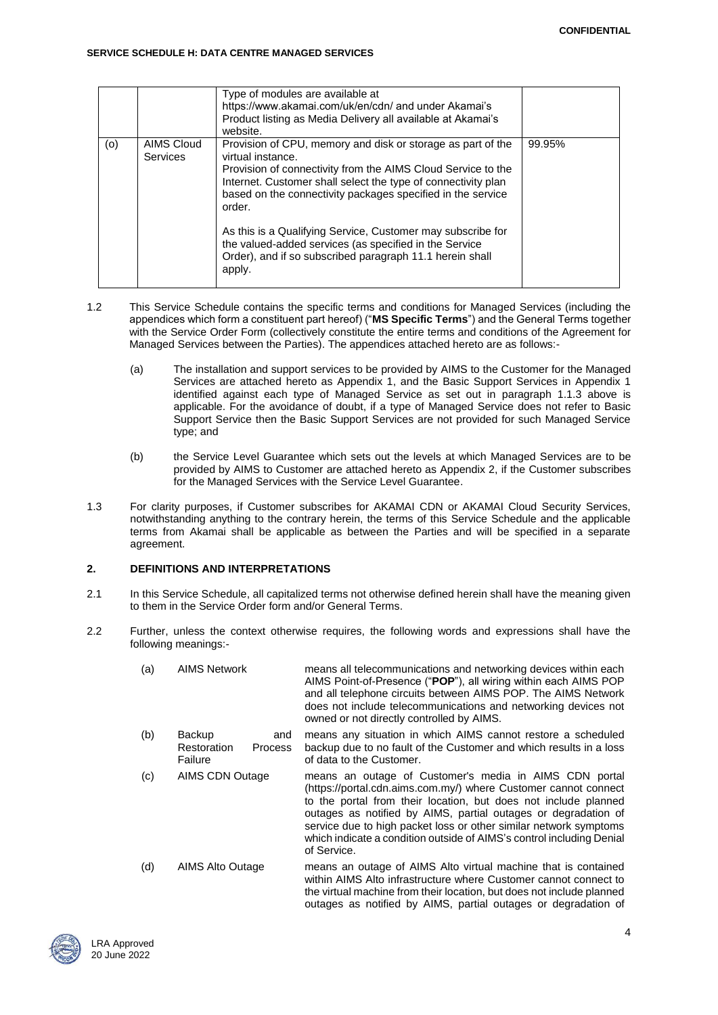#### **SERVICE SCHEDULE H: DATA CENTRE MANAGED SERVICES**

|     |                               | Type of modules are available at<br>https://www.akamai.com/uk/en/cdn/ and under Akamai's                                                                                                                                                                                                                                                                                                                                                                                        |        |
|-----|-------------------------------|---------------------------------------------------------------------------------------------------------------------------------------------------------------------------------------------------------------------------------------------------------------------------------------------------------------------------------------------------------------------------------------------------------------------------------------------------------------------------------|--------|
|     |                               | Product listing as Media Delivery all available at Akamai's<br>website.                                                                                                                                                                                                                                                                                                                                                                                                         |        |
| (o) | AIMS Cloud<br><b>Services</b> | Provision of CPU, memory and disk or storage as part of the<br>virtual instance.<br>Provision of connectivity from the AIMS Cloud Service to the<br>Internet. Customer shall select the type of connectivity plan<br>based on the connectivity packages specified in the service<br>order.<br>As this is a Qualifying Service, Customer may subscribe for<br>the valued-added services (as specified in the Service<br>Order), and if so subscribed paragraph 11.1 herein shall | 99.95% |
|     |                               | apply.                                                                                                                                                                                                                                                                                                                                                                                                                                                                          |        |

- 1.2 This Service Schedule contains the specific terms and conditions for Managed Services (including the appendices which form a constituent part hereof) ("**MS Specific Terms**") and the General Terms together with the Service Order Form (collectively constitute the entire terms and conditions of the Agreement for Managed Services between the Parties). The appendices attached hereto are as follows:-
	- (a) The installation and support services to be provided by AIMS to the Customer for the Managed Services are attached hereto as Appendix 1, and the Basic Support Services in Appendix 1 identified against each type of Managed Service as set out in paragraph 1.1.3 above is applicable. For the avoidance of doubt, if a type of Managed Service does not refer to Basic Support Service then the Basic Support Services are not provided for such Managed Service type; and
	- (b) the Service Level Guarantee which sets out the levels at which Managed Services are to be provided by AIMS to Customer are attached hereto as Appendix 2, if the Customer subscribes for the Managed Services with the Service Level Guarantee.
- 1.3 For clarity purposes, if Customer subscribes for AKAMAI CDN or AKAMAI Cloud Security Services, notwithstanding anything to the contrary herein, the terms of this Service Schedule and the applicable terms from Akamai shall be applicable as between the Parties and will be specified in a separate agreement.

## **2. DEFINITIONS AND INTERPRETATIONS**

- 2.1 In this Service Schedule, all capitalized terms not otherwise defined herein shall have the meaning given to them in the Service Order form and/or General Terms.
- 2.2 Further, unless the context otherwise requires, the following words and expressions shall have the following meanings:-

| (a) | <b>AIMS Network</b>                                       | means all telecommunications and networking devices within each<br>AIMS Point-of-Presence ("POP"), all wiring within each AIMS POP<br>and all telephone circuits between AIMS POP. The AIMS Network<br>does not include telecommunications and networking devices not<br>owned or not directly controlled by AIMS.                                                                                                          |
|-----|-----------------------------------------------------------|-----------------------------------------------------------------------------------------------------------------------------------------------------------------------------------------------------------------------------------------------------------------------------------------------------------------------------------------------------------------------------------------------------------------------------|
| (b) | Backup<br>and<br>Restoration<br><b>Process</b><br>Failure | means any situation in which AIMS cannot restore a scheduled<br>backup due to no fault of the Customer and which results in a loss<br>of data to the Customer.                                                                                                                                                                                                                                                              |
| (c) | <b>AIMS CDN Outage</b>                                    | means an outage of Customer's media in AIMS CDN portal<br>(https://portal.cdn.aims.com.my/) where Customer cannot connect<br>to the portal from their location, but does not include planned<br>outages as notified by AIMS, partial outages or degradation of<br>service due to high packet loss or other similar network symptoms<br>which indicate a condition outside of AIMS's control including Denial<br>of Service. |
| (d) | AIMS Alto Outage                                          | means an outage of AIMS Alto virtual machine that is contained<br>within AIMS Alto infrastructure where Customer cannot connect to<br>the virtual machine from their location, but does not include planned<br>outages as notified by AIMS, partial outages or degradation of                                                                                                                                               |

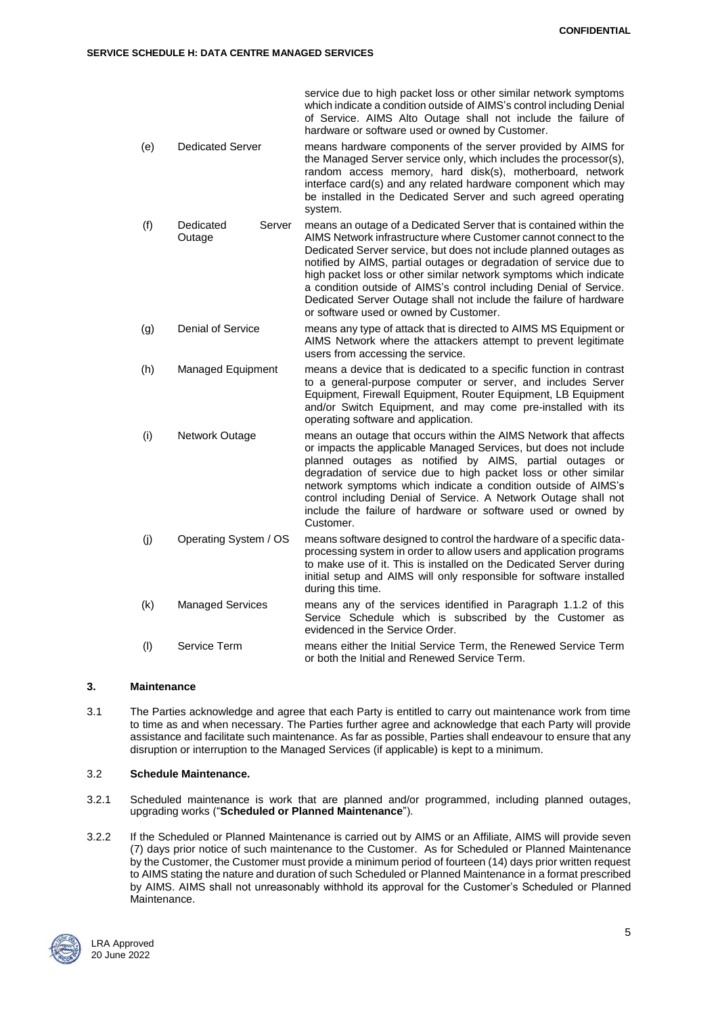service due to high packet loss or other similar network symptoms which indicate a condition outside of AIMS's control including Denial of Service. AIMS Alto Outage shall not include the failure of hardware or software used or owned by Customer. (e) Dedicated Server means hardware components of the server provided by AIMS for the Managed Server service only, which includes the processor(s), random access memory, hard disk(s), motherboard, network interface card(s) and any related hardware component which may be installed in the Dedicated Server and such agreed operating system. (f) Dedicated Server Outage means an outage of a Dedicated Server that is contained within the AIMS Network infrastructure where Customer cannot connect to the Dedicated Server service, but does not include planned outages as notified by AIMS, partial outages or degradation of service due to high packet loss or other similar network symptoms which indicate a condition outside of AIMS's control including Denial of Service. Dedicated Server Outage shall not include the failure of hardware or software used or owned by Customer. (g) Denial of Service means any type of attack that is directed to AIMS MS Equipment or AIMS Network where the attackers attempt to prevent legitimate users from accessing the service. (h) Managed Equipment means a device that is dedicated to a specific function in contrast to a general-purpose computer or server, and includes Server Equipment, Firewall Equipment, Router Equipment, LB Equipment and/or Switch Equipment, and may come pre-installed with its operating software and application. (i) Network Outage means an outage that occurs within the AIMS Network that affects or impacts the applicable Managed Services, but does not include planned outages as notified by AIMS, partial outages or degradation of service due to high packet loss or other similar network symptoms which indicate a condition outside of AIMS's control including Denial of Service. A Network Outage shall not include the failure of hardware or software used or owned by Customer. (j) Operating System / OS means software designed to control the hardware of a specific dataprocessing system in order to allow users and application programs to make use of it. This is installed on the Dedicated Server during initial setup and AIMS will only responsible for software installed

- during this time. (k) Managed Services means any of the services identified in Paragraph 1.1.2 of this Service Schedule which is subscribed by the Customer as evidenced in the Service Order.
- (l) Service Term means either the Initial Service Term, the Renewed Service Term or both the Initial and Renewed Service Term.

## **3. Maintenance**

3.1 The Parties acknowledge and agree that each Party is entitled to carry out maintenance work from time to time as and when necessary. The Parties further agree and acknowledge that each Party will provide assistance and facilitate such maintenance. As far as possible, Parties shall endeavour to ensure that any disruption or interruption to the Managed Services (if applicable) is kept to a minimum.

## 3.2 **Schedule Maintenance.**

- 3.2.1 Scheduled maintenance is work that are planned and/or programmed, including planned outages, upgrading works ("**Scheduled or Planned Maintenance**").
- 3.2.2 If the Scheduled or Planned Maintenance is carried out by AIMS or an Affiliate, AIMS will provide seven (7) days prior notice of such maintenance to the Customer. As for Scheduled or Planned Maintenance by the Customer, the Customer must provide a minimum period of fourteen (14) days prior written request to AIMS stating the nature and duration of such Scheduled or Planned Maintenance in a format prescribed by AIMS. AIMS shall not unreasonably withhold its approval for the Customer's Scheduled or Planned Maintenance.

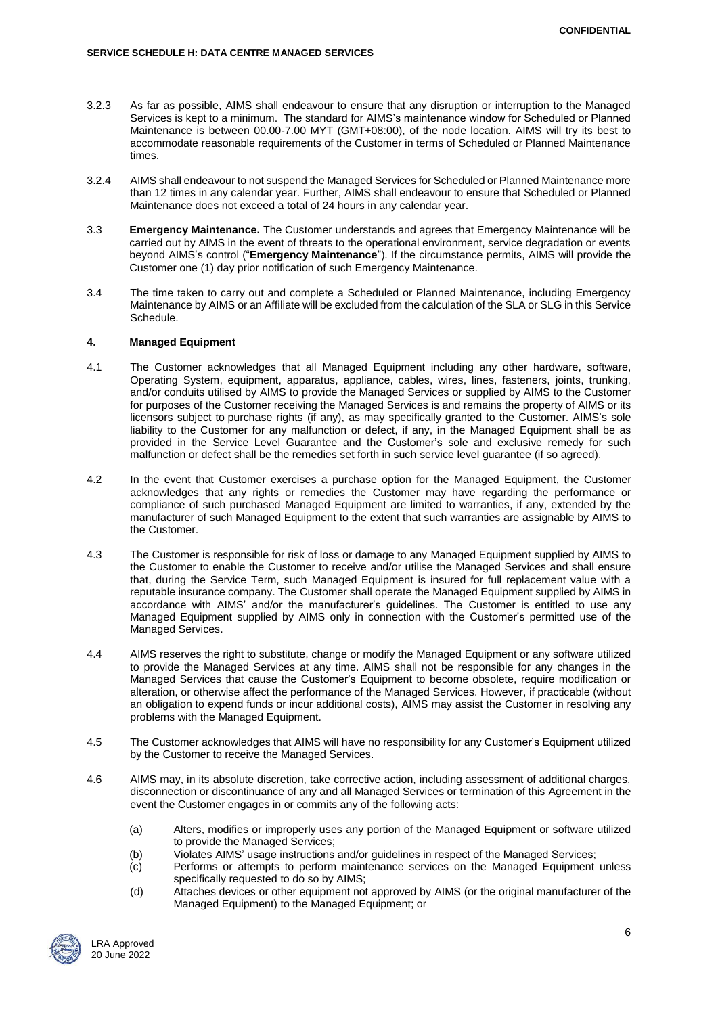- 3.2.3 As far as possible, AIMS shall endeavour to ensure that any disruption or interruption to the Managed Services is kept to a minimum. The standard for AIMS's maintenance window for Scheduled or Planned Maintenance is between 00.00-7.00 MYT (GMT+08:00), of the node location. AIMS will try its best to accommodate reasonable requirements of the Customer in terms of Scheduled or Planned Maintenance times.
- 3.2.4 AIMS shall endeavour to not suspend the Managed Services for Scheduled or Planned Maintenance more than 12 times in any calendar year. Further, AIMS shall endeavour to ensure that Scheduled or Planned Maintenance does not exceed a total of 24 hours in any calendar year.
- 3.3 **Emergency Maintenance.** The Customer understands and agrees that Emergency Maintenance will be carried out by AIMS in the event of threats to the operational environment, service degradation or events beyond AIMS's control ("**Emergency Maintenance**"). If the circumstance permits, AIMS will provide the Customer one (1) day prior notification of such Emergency Maintenance.
- 3.4 The time taken to carry out and complete a Scheduled or Planned Maintenance, including Emergency Maintenance by AIMS or an Affiliate will be excluded from the calculation of the SLA or SLG in this Service Schedule.

### **4. Managed Equipment**

- 4.1 The Customer acknowledges that all Managed Equipment including any other hardware, software, Operating System, equipment, apparatus, appliance, cables, wires, lines, fasteners, joints, trunking, and/or conduits utilised by AIMS to provide the Managed Services or supplied by AIMS to the Customer for purposes of the Customer receiving the Managed Services is and remains the property of AIMS or its licensors subject to purchase rights (if any), as may specifically granted to the Customer. AIMS's sole liability to the Customer for any malfunction or defect, if any, in the Managed Equipment shall be as provided in the Service Level Guarantee and the Customer's sole and exclusive remedy for such malfunction or defect shall be the remedies set forth in such service level guarantee (if so agreed).
- 4.2 In the event that Customer exercises a purchase option for the Managed Equipment, the Customer acknowledges that any rights or remedies the Customer may have regarding the performance or compliance of such purchased Managed Equipment are limited to warranties, if any, extended by the manufacturer of such Managed Equipment to the extent that such warranties are assignable by AIMS to the Customer.
- 4.3 The Customer is responsible for risk of loss or damage to any Managed Equipment supplied by AIMS to the Customer to enable the Customer to receive and/or utilise the Managed Services and shall ensure that, during the Service Term, such Managed Equipment is insured for full replacement value with a reputable insurance company. The Customer shall operate the Managed Equipment supplied by AIMS in accordance with AIMS' and/or the manufacturer's guidelines. The Customer is entitled to use any Managed Equipment supplied by AIMS only in connection with the Customer's permitted use of the Managed Services.
- 4.4 AIMS reserves the right to substitute, change or modify the Managed Equipment or any software utilized to provide the Managed Services at any time. AIMS shall not be responsible for any changes in the Managed Services that cause the Customer's Equipment to become obsolete, require modification or alteration, or otherwise affect the performance of the Managed Services. However, if practicable (without an obligation to expend funds or incur additional costs), AIMS may assist the Customer in resolving any problems with the Managed Equipment.
- 4.5 The Customer acknowledges that AIMS will have no responsibility for any Customer's Equipment utilized by the Customer to receive the Managed Services.
- 4.6 AIMS may, in its absolute discretion, take corrective action, including assessment of additional charges, disconnection or discontinuance of any and all Managed Services or termination of this Agreement in the event the Customer engages in or commits any of the following acts:
	- (a) Alters, modifies or improperly uses any portion of the Managed Equipment or software utilized to provide the Managed Services;
	- (b) Violates AIMS' usage instructions and/or guidelines in respect of the Managed Services;
	- (c) Performs or attempts to perform maintenance services on the Managed Equipment unless specifically requested to do so by AIMS;
	- (d) Attaches devices or other equipment not approved by AIMS (or the original manufacturer of the Managed Equipment) to the Managed Equipment; or

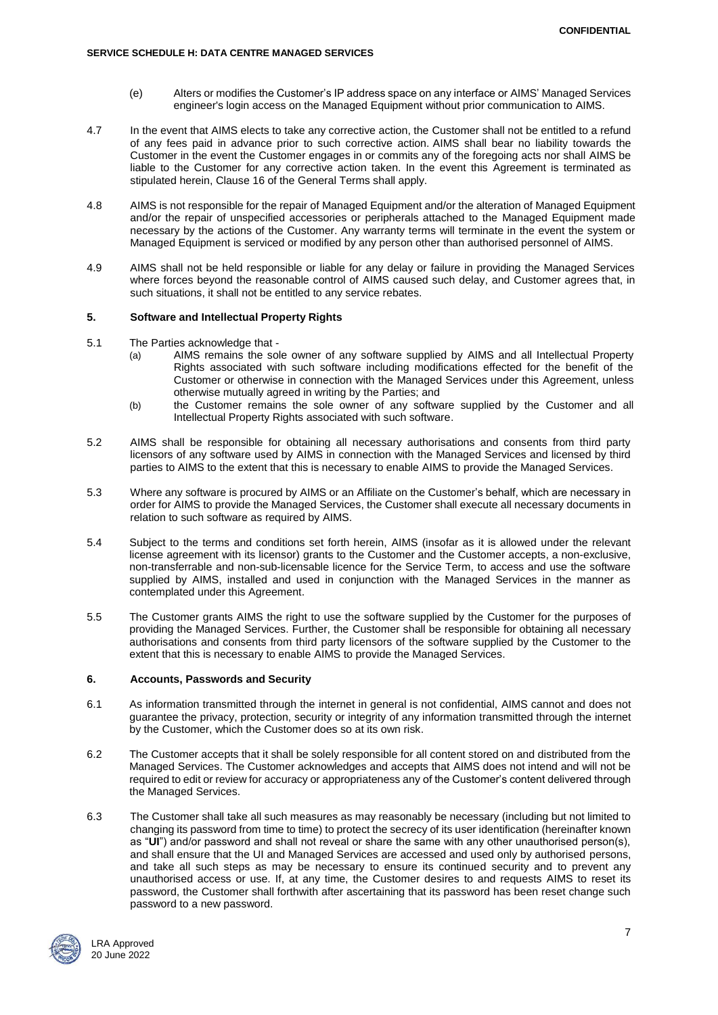- (e) Alters or modifies the Customer's IP address space on any interface or AIMS' Managed Services engineer's login access on the Managed Equipment without prior communication to AIMS.
- 4.7 In the event that AIMS elects to take any corrective action, the Customer shall not be entitled to a refund of any fees paid in advance prior to such corrective action. AIMS shall bear no liability towards the Customer in the event the Customer engages in or commits any of the foregoing acts nor shall AIMS be liable to the Customer for any corrective action taken. In the event this Agreement is terminated as stipulated herein, Clause 16 of the General Terms shall apply.
- 4.8 AIMS is not responsible for the repair of Managed Equipment and/or the alteration of Managed Equipment and/or the repair of unspecified accessories or peripherals attached to the Managed Equipment made necessary by the actions of the Customer. Any warranty terms will terminate in the event the system or Managed Equipment is serviced or modified by any person other than authorised personnel of AIMS.
- 4.9 AIMS shall not be held responsible or liable for any delay or failure in providing the Managed Services where forces beyond the reasonable control of AIMS caused such delay, and Customer agrees that, in such situations, it shall not be entitled to any service rebates.

## **5. Software and Intellectual Property Rights**

- 5.1 The Parties acknowledge that
	- (a) AIMS remains the sole owner of any software supplied by AIMS and all Intellectual Property Rights associated with such software including modifications effected for the benefit of the Customer or otherwise in connection with the Managed Services under this Agreement, unless otherwise mutually agreed in writing by the Parties; and
	- (b) the Customer remains the sole owner of any software supplied by the Customer and all Intellectual Property Rights associated with such software.
- 5.2 AIMS shall be responsible for obtaining all necessary authorisations and consents from third party licensors of any software used by AIMS in connection with the Managed Services and licensed by third parties to AIMS to the extent that this is necessary to enable AIMS to provide the Managed Services.
- 5.3 Where any software is procured by AIMS or an Affiliate on the Customer's behalf, which are necessary in order for AIMS to provide the Managed Services, the Customer shall execute all necessary documents in relation to such software as required by AIMS.
- 5.4 Subject to the terms and conditions set forth herein, AIMS (insofar as it is allowed under the relevant license agreement with its licensor) grants to the Customer and the Customer accepts, a non-exclusive, non-transferrable and non-sub-licensable licence for the Service Term, to access and use the software supplied by AIMS, installed and used in conjunction with the Managed Services in the manner as contemplated under this Agreement.
- 5.5 The Customer grants AIMS the right to use the software supplied by the Customer for the purposes of providing the Managed Services. Further, the Customer shall be responsible for obtaining all necessary authorisations and consents from third party licensors of the software supplied by the Customer to the extent that this is necessary to enable AIMS to provide the Managed Services.

## **6. Accounts, Passwords and Security**

- 6.1 As information transmitted through the internet in general is not confidential, AIMS cannot and does not guarantee the privacy, protection, security or integrity of any information transmitted through the internet by the Customer, which the Customer does so at its own risk.
- 6.2 The Customer accepts that it shall be solely responsible for all content stored on and distributed from the Managed Services. The Customer acknowledges and accepts that AIMS does not intend and will not be required to edit or review for accuracy or appropriateness any of the Customer's content delivered through the Managed Services.
- 6.3 The Customer shall take all such measures as may reasonably be necessary (including but not limited to changing its password from time to time) to protect the secrecy of its user identification (hereinafter known as "**UI**") and/or password and shall not reveal or share the same with any other unauthorised person(s), and shall ensure that the UI and Managed Services are accessed and used only by authorised persons, and take all such steps as may be necessary to ensure its continued security and to prevent any unauthorised access or use. If, at any time, the Customer desires to and requests AIMS to reset its password, the Customer shall forthwith after ascertaining that its password has been reset change such password to a new password.

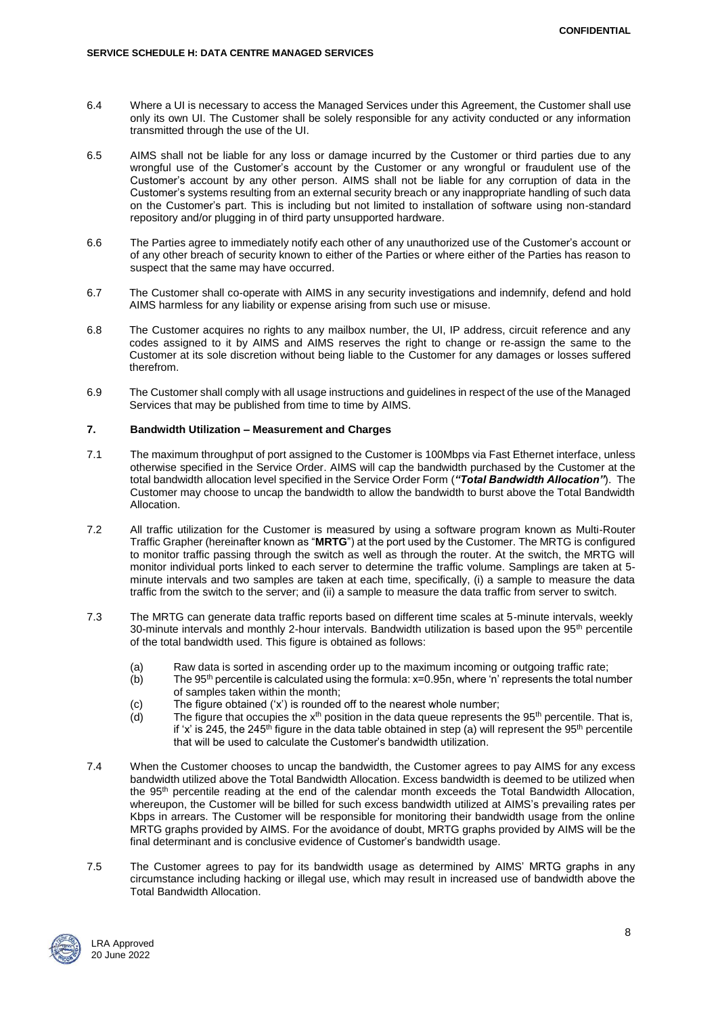- 6.4 Where a UI is necessary to access the Managed Services under this Agreement, the Customer shall use only its own UI. The Customer shall be solely responsible for any activity conducted or any information transmitted through the use of the UI.
- 6.5 AIMS shall not be liable for any loss or damage incurred by the Customer or third parties due to any wrongful use of the Customer's account by the Customer or any wrongful or fraudulent use of the Customer's account by any other person. AIMS shall not be liable for any corruption of data in the Customer's systems resulting from an external security breach or any inappropriate handling of such data on the Customer's part. This is including but not limited to installation of software using non-standard repository and/or plugging in of third party unsupported hardware.
- 6.6 The Parties agree to immediately notify each other of any unauthorized use of the Customer's account or of any other breach of security known to either of the Parties or where either of the Parties has reason to suspect that the same may have occurred.
- 6.7 The Customer shall co-operate with AIMS in any security investigations and indemnify, defend and hold AIMS harmless for any liability or expense arising from such use or misuse.
- 6.8 The Customer acquires no rights to any mailbox number, the UI, IP address, circuit reference and any codes assigned to it by AIMS and AIMS reserves the right to change or re-assign the same to the Customer at its sole discretion without being liable to the Customer for any damages or losses suffered therefrom.
- 6.9 The Customer shall comply with all usage instructions and guidelines in respect of the use of the Managed Services that may be published from time to time by AIMS.

### **7. Bandwidth Utilization – Measurement and Charges**

- 7.1 The maximum throughput of port assigned to the Customer is 100Mbps via Fast Ethernet interface, unless otherwise specified in the Service Order. AIMS will cap the bandwidth purchased by the Customer at the total bandwidth allocation level specified in the Service Order Form (*"Total Bandwidth Allocation"*). The Customer may choose to uncap the bandwidth to allow the bandwidth to burst above the Total Bandwidth Allocation.
- 7.2 All traffic utilization for the Customer is measured by using a software program known as Multi-Router Traffic Grapher (hereinafter known as "**MRTG**") at the port used by the Customer. The MRTG is configured to monitor traffic passing through the switch as well as through the router. At the switch, the MRTG will monitor individual ports linked to each server to determine the traffic volume. Samplings are taken at 5 minute intervals and two samples are taken at each time, specifically, (i) a sample to measure the data traffic from the switch to the server; and (ii) a sample to measure the data traffic from server to switch.
- 7.3 The MRTG can generate data traffic reports based on different time scales at 5-minute intervals, weekly 30-minute intervals and monthly 2-hour intervals. Bandwidth utilization is based upon the 95<sup>th</sup> percentile of the total bandwidth used. This figure is obtained as follows:
	- (a) Raw data is sorted in ascending order up to the maximum incoming or outgoing traffic rate;
	- (b) The 95<sup>th</sup> percentile is calculated using the formula:  $x=0.95n$ , where 'n' represents the total number of samples taken within the month;
	- (c) The figure obtained  $('x')$  is rounded off to the nearest whole number;<br>(d) The figure that occupies the  $x<sup>th</sup>$  position in the data queue represents
	- The figure that occupies the  $x<sup>th</sup>$  position in the data queue represents the 95<sup>th</sup> percentile. That is, if 'x' is 245, the 245<sup>th</sup> figure in the data table obtained in step (a) will represent the 95<sup>th</sup> percentile that will be used to calculate the Customer's bandwidth utilization.
- 7.4 When the Customer chooses to uncap the bandwidth, the Customer agrees to pay AIMS for any excess bandwidth utilized above the Total Bandwidth Allocation. Excess bandwidth is deemed to be utilized when the 95th percentile reading at the end of the calendar month exceeds the Total Bandwidth Allocation, whereupon, the Customer will be billed for such excess bandwidth utilized at AIMS's prevailing rates per Kbps in arrears. The Customer will be responsible for monitoring their bandwidth usage from the online MRTG graphs provided by AIMS. For the avoidance of doubt, MRTG graphs provided by AIMS will be the final determinant and is conclusive evidence of Customer's bandwidth usage.
- 7.5 The Customer agrees to pay for its bandwidth usage as determined by AIMS' MRTG graphs in any circumstance including hacking or illegal use, which may result in increased use of bandwidth above the Total Bandwidth Allocation.

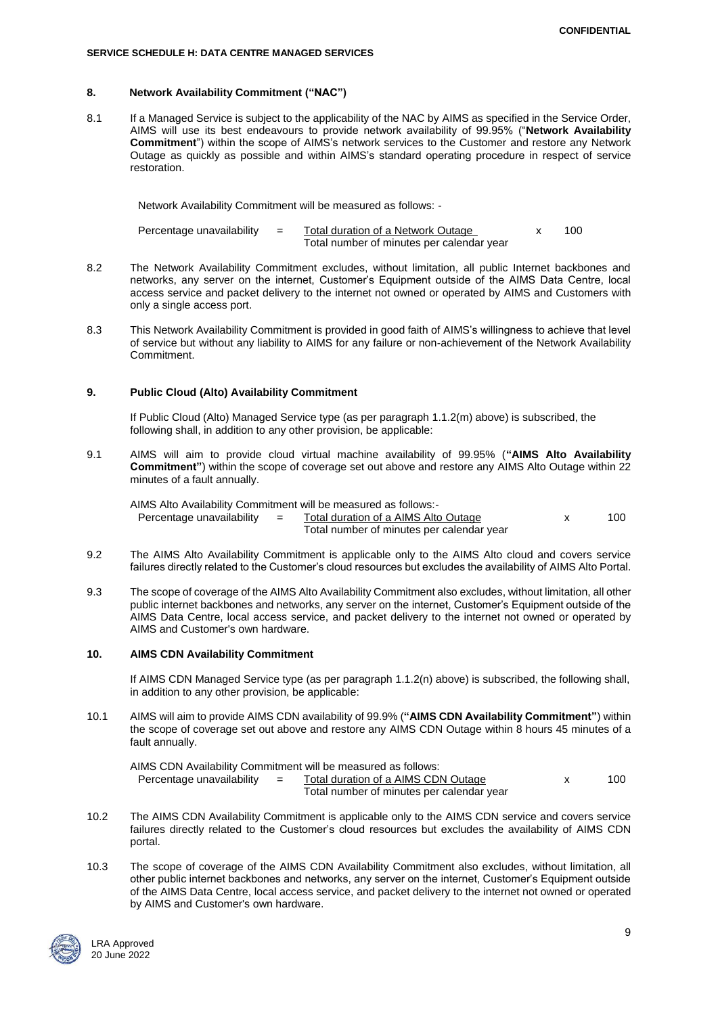#### **SERVICE SCHEDULE H: DATA CENTRE MANAGED SERVICES**

## **8. Network Availability Commitment ("NAC")**

8.1 If a Managed Service is subject to the applicability of the NAC by AIMS as specified in the Service Order, AIMS will use its best endeavours to provide network availability of 99.95% ("**Network Availability Commitment**") within the scope of AIMS's network services to the Customer and restore any Network Outage as quickly as possible and within AIMS's standard operating procedure in respect of service restoration.

Network Availability Commitment will be measured as follows: -

| Percentage unavailability | Total duration of a Network Outage        |  | 100 |
|---------------------------|-------------------------------------------|--|-----|
|                           | Total number of minutes per calendar year |  |     |

- 8.2 The Network Availability Commitment excludes, without limitation, all public Internet backbones and networks, any server on the internet, Customer's Equipment outside of the AIMS Data Centre, local access service and packet delivery to the internet not owned or operated by AIMS and Customers with only a single access port.
- 8.3 This Network Availability Commitment is provided in good faith of AIMS's willingness to achieve that level of service but without any liability to AIMS for any failure or non-achievement of the Network Availability Commitment.

### **9. Public Cloud (Alto) Availability Commitment**

If Public Cloud (Alto) Managed Service type (as per paragraph 1.1.2(m) above) is subscribed, the following shall, in addition to any other provision, be applicable:

9.1 AIMS will aim to provide cloud virtual machine availability of 99.95% (**"AIMS Alto Availability Commitment"**) within the scope of coverage set out above and restore any AIMS Alto Outage within 22 minutes of a fault annually.

AIMS Alto Availability Commitment will be measured as follows:-

Percentage unavailability  $=$  Total duration of a AIMS Alto Outage  $\times$  100 Total number of minutes per calendar year

- 9.2 The AIMS Alto Availability Commitment is applicable only to the AIMS Alto cloud and covers service failures directly related to the Customer's cloud resources but excludes the availability of AIMS Alto Portal.
- 9.3 The scope of coverage of the AIMS Alto Availability Commitment also excludes, without limitation, all other public internet backbones and networks, any server on the internet, Customer's Equipment outside of the AIMS Data Centre, local access service, and packet delivery to the internet not owned or operated by AIMS and Customer's own hardware.

## **10. AIMS CDN Availability Commitment**

If AIMS CDN Managed Service type (as per paragraph 1.1.2(n) above) is subscribed, the following shall, in addition to any other provision, be applicable:

10.1 AIMS will aim to provide AIMS CDN availability of 99.9% (**"AIMS CDN Availability Commitment"**) within the scope of coverage set out above and restore any AIMS CDN Outage within 8 hours 45 minutes of a fault annually.

AIMS CDN Availability Commitment will be measured as follows:<br>Percentage unavailability  $=$  Total duration of a AIMS CD Percentage unavailable values of a AIMS CDN Outage values x 100 Total number of minutes per calendar year

- 10.2 The AIMS CDN Availability Commitment is applicable only to the AIMS CDN service and covers service failures directly related to the Customer's cloud resources but excludes the availability of AIMS CDN portal.
- 10.3 The scope of coverage of the AIMS CDN Availability Commitment also excludes, without limitation, all other public internet backbones and networks, any server on the internet, Customer's Equipment outside of the AIMS Data Centre, local access service, and packet delivery to the internet not owned or operated by AIMS and Customer's own hardware.

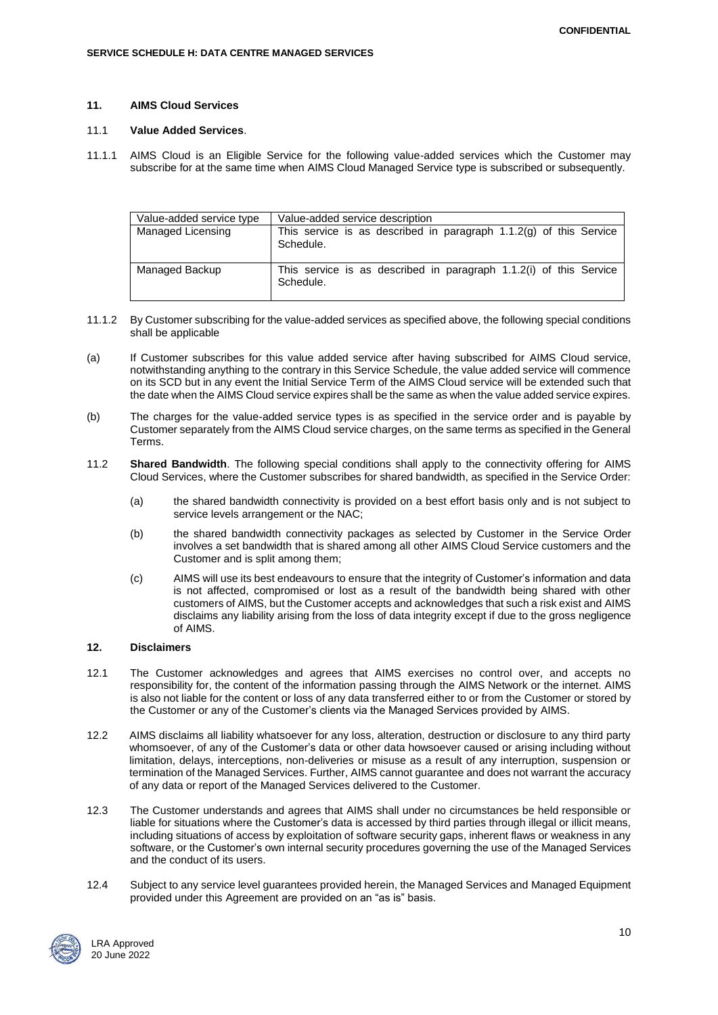### **11. AIMS Cloud Services**

### 11.1 **Value Added Services**.

11.1.1 AIMS Cloud is an Eligible Service for the following value-added services which the Customer may subscribe for at the same time when AIMS Cloud Managed Service type is subscribed or subsequently.

| Value-added service type | Value-added service description                                                   |
|--------------------------|-----------------------------------------------------------------------------------|
| Managed Licensing        | This service is as described in paragraph $1.1.2(g)$ of this Service<br>Schedule. |
| Managed Backup           | This service is as described in paragraph 1.1.2(i) of this Service<br>Schedule.   |

- 11.1.2 By Customer subscribing for the value-added services as specified above, the following special conditions shall be applicable
- (a) If Customer subscribes for this value added service after having subscribed for AIMS Cloud service, notwithstanding anything to the contrary in this Service Schedule, the value added service will commence on its SCD but in any event the Initial Service Term of the AIMS Cloud service will be extended such that the date when the AIMS Cloud service expires shall be the same as when the value added service expires.
- (b) The charges for the value-added service types is as specified in the service order and is payable by Customer separately from the AIMS Cloud service charges, on the same terms as specified in the General Terms.
- 11.2 **Shared Bandwidth**. The following special conditions shall apply to the connectivity offering for AIMS Cloud Services, where the Customer subscribes for shared bandwidth, as specified in the Service Order:
	- (a) the shared bandwidth connectivity is provided on a best effort basis only and is not subject to service levels arrangement or the NAC;
	- (b) the shared bandwidth connectivity packages as selected by Customer in the Service Order involves a set bandwidth that is shared among all other AIMS Cloud Service customers and the Customer and is split among them;
	- (c) AIMS will use its best endeavours to ensure that the integrity of Customer's information and data is not affected, compromised or lost as a result of the bandwidth being shared with other customers of AIMS, but the Customer accepts and acknowledges that such a risk exist and AIMS disclaims any liability arising from the loss of data integrity except if due to the gross negligence of AIMS.

## **12. Disclaimers**

- 12.1 The Customer acknowledges and agrees that AIMS exercises no control over, and accepts no responsibility for, the content of the information passing through the AIMS Network or the internet. AIMS is also not liable for the content or loss of any data transferred either to or from the Customer or stored by the Customer or any of the Customer's clients via the Managed Services provided by AIMS.
- 12.2 AIMS disclaims all liability whatsoever for any loss, alteration, destruction or disclosure to any third party whomsoever, of any of the Customer's data or other data howsoever caused or arising including without limitation, delays, interceptions, non-deliveries or misuse as a result of any interruption, suspension or termination of the Managed Services. Further, AIMS cannot guarantee and does not warrant the accuracy of any data or report of the Managed Services delivered to the Customer.
- 12.3 The Customer understands and agrees that AIMS shall under no circumstances be held responsible or liable for situations where the Customer's data is accessed by third parties through illegal or illicit means, including situations of access by exploitation of software security gaps, inherent flaws or weakness in any software, or the Customer's own internal security procedures governing the use of the Managed Services and the conduct of its users.
- 12.4 Subject to any service level guarantees provided herein, the Managed Services and Managed Equipment provided under this Agreement are provided on an "as is" basis.

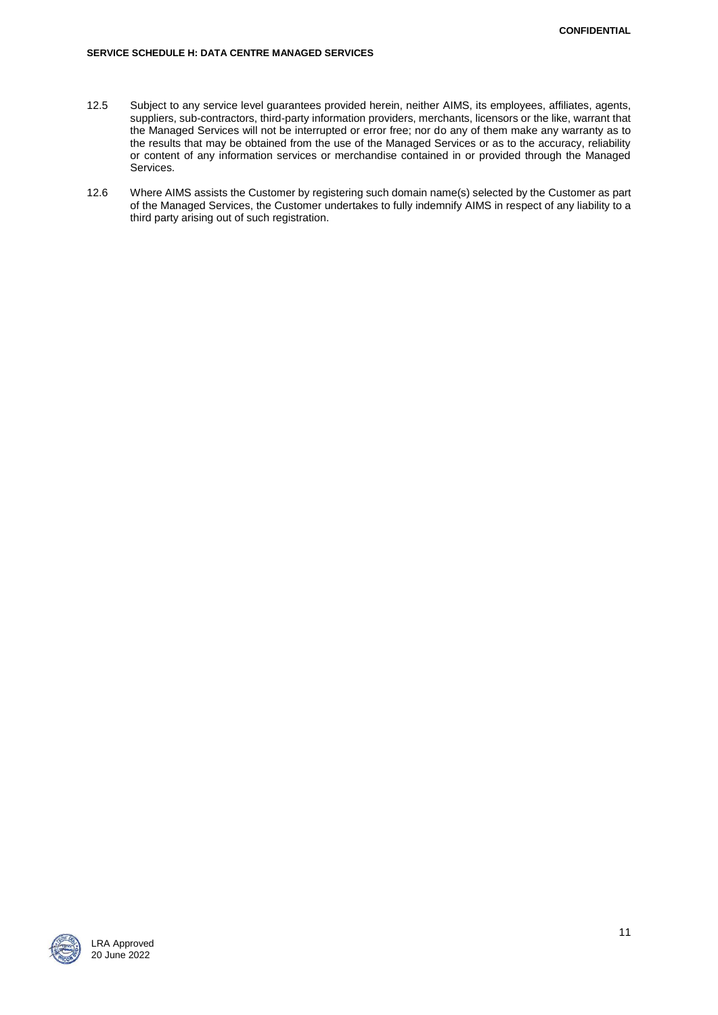- 12.5 Subject to any service level guarantees provided herein, neither AIMS, its employees, affiliates, agents, suppliers, sub-contractors, third-party information providers, merchants, licensors or the like, warrant that the Managed Services will not be interrupted or error free; nor do any of them make any warranty as to the results that may be obtained from the use of the Managed Services or as to the accuracy, reliability or content of any information services or merchandise contained in or provided through the Managed Services.
- 12.6 Where AIMS assists the Customer by registering such domain name(s) selected by the Customer as part of the Managed Services, the Customer undertakes to fully indemnify AIMS in respect of any liability to a third party arising out of such registration.

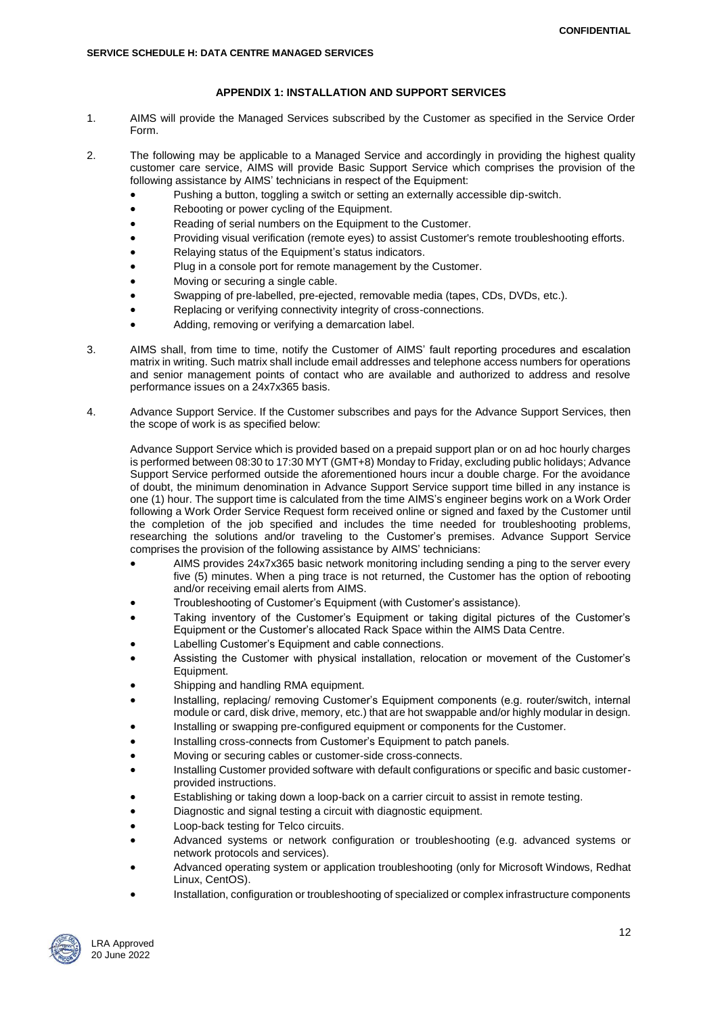## **APPENDIX 1: INSTALLATION AND SUPPORT SERVICES**

- 1. AIMS will provide the Managed Services subscribed by the Customer as specified in the Service Order Form.
- 2. The following may be applicable to a Managed Service and accordingly in providing the highest quality customer care service, AIMS will provide Basic Support Service which comprises the provision of the following assistance by AIMS' technicians in respect of the Equipment:
	- Pushing a button, toggling a switch or setting an externally accessible dip-switch.
	- Rebooting or power cycling of the Equipment.
	- Reading of serial numbers on the Equipment to the Customer.
	- Providing visual verification (remote eyes) to assist Customer's remote troubleshooting efforts.
	- Relaying status of the Equipment's status indicators.
	- Plug in a console port for remote management by the Customer.
	- Moving or securing a single cable.
	- Swapping of pre-labelled, pre-ejected, removable media (tapes, CDs, DVDs, etc.).
	- Replacing or verifying connectivity integrity of cross-connections.
	- Adding, removing or verifying a demarcation label.
- 3. AIMS shall, from time to time, notify the Customer of AIMS' fault reporting procedures and escalation matrix in writing. Such matrix shall include email addresses and telephone access numbers for operations and senior management points of contact who are available and authorized to address and resolve performance issues on a 24x7x365 basis.
- 4. Advance Support Service. If the Customer subscribes and pays for the Advance Support Services, then the scope of work is as specified below:

Advance Support Service which is provided based on a prepaid support plan or on ad hoc hourly charges is performed between 08:30 to 17:30 MYT (GMT+8) Monday to Friday, excluding public holidays; Advance Support Service performed outside the aforementioned hours incur a double charge. For the avoidance of doubt, the minimum denomination in Advance Support Service support time billed in any instance is one (1) hour. The support time is calculated from the time AIMS's engineer begins work on a Work Order following a Work Order Service Request form received online or signed and faxed by the Customer until the completion of the job specified and includes the time needed for troubleshooting problems, researching the solutions and/or traveling to the Customer's premises. Advance Support Service comprises the provision of the following assistance by AIMS' technicians:

- AIMS provides 24x7x365 basic network monitoring including sending a ping to the server every five (5) minutes. When a ping trace is not returned, the Customer has the option of rebooting and/or receiving email alerts from AIMS.
- Troubleshooting of Customer's Equipment (with Customer's assistance).
- Taking inventory of the Customer's Equipment or taking digital pictures of the Customer's Equipment or the Customer's allocated Rack Space within the AIMS Data Centre.
- Labelling Customer's Equipment and cable connections.
- Assisting the Customer with physical installation, relocation or movement of the Customer's Equipment.
- Shipping and handling RMA equipment.
- Installing, replacing/ removing Customer's Equipment components (e.g. router/switch, internal module or card, disk drive, memory, etc.) that are hot swappable and/or highly modular in design.
- Installing or swapping pre-configured equipment or components for the Customer.
- Installing cross-connects from Customer's Equipment to patch panels.
- Moving or securing cables or customer-side cross-connects.
- Installing Customer provided software with default configurations or specific and basic customerprovided instructions.
- Establishing or taking down a loop-back on a carrier circuit to assist in remote testing.
- Diagnostic and signal testing a circuit with diagnostic equipment.
- Loop-back testing for Telco circuits.
- Advanced systems or network configuration or troubleshooting (e.g. advanced systems or network protocols and services).
- Advanced operating system or application troubleshooting (only for Microsoft Windows, Redhat Linux, CentOS).
- Installation, configuration or troubleshooting of specialized or complex infrastructure components

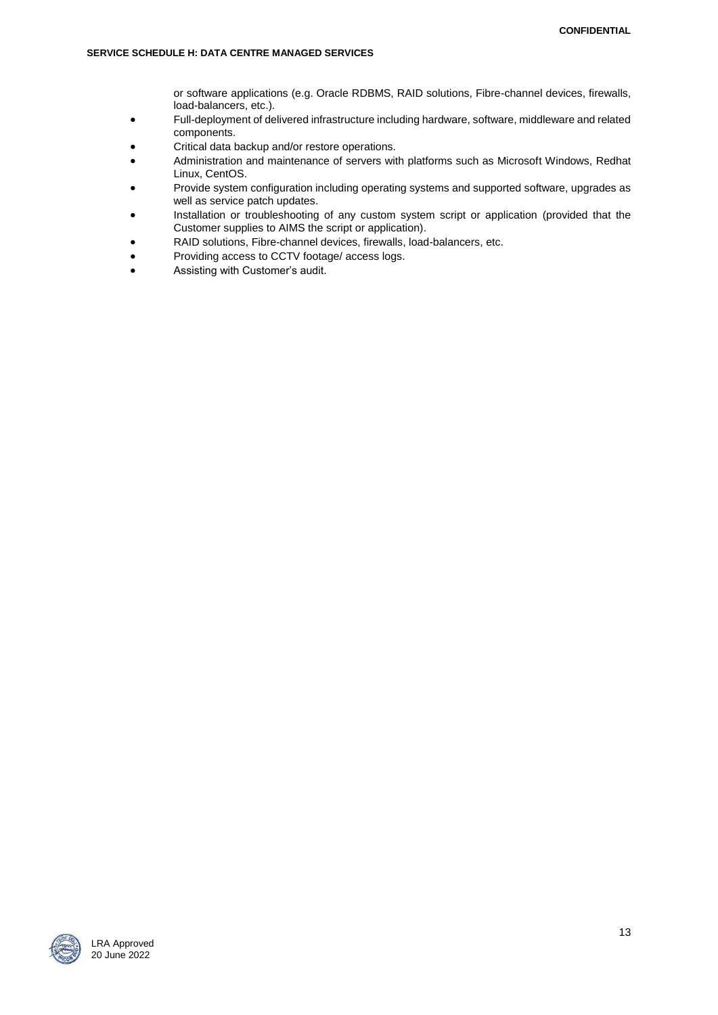or software applications (e.g. Oracle RDBMS, RAID solutions, Fibre-channel devices, firewalls, load-balancers, etc.).

- Full-deployment of delivered infrastructure including hardware, software, middleware and related components.
- Critical data backup and/or restore operations.
- Administration and maintenance of servers with platforms such as Microsoft Windows, Redhat Linux, CentOS.
- Provide system configuration including operating systems and supported software, upgrades as well as service patch updates.
- Installation or troubleshooting of any custom system script or application (provided that the Customer supplies to AIMS the script or application).
- RAID solutions, Fibre-channel devices, firewalls, load-balancers, etc.
- Providing access to CCTV footage/ access logs.
- Assisting with Customer's audit.

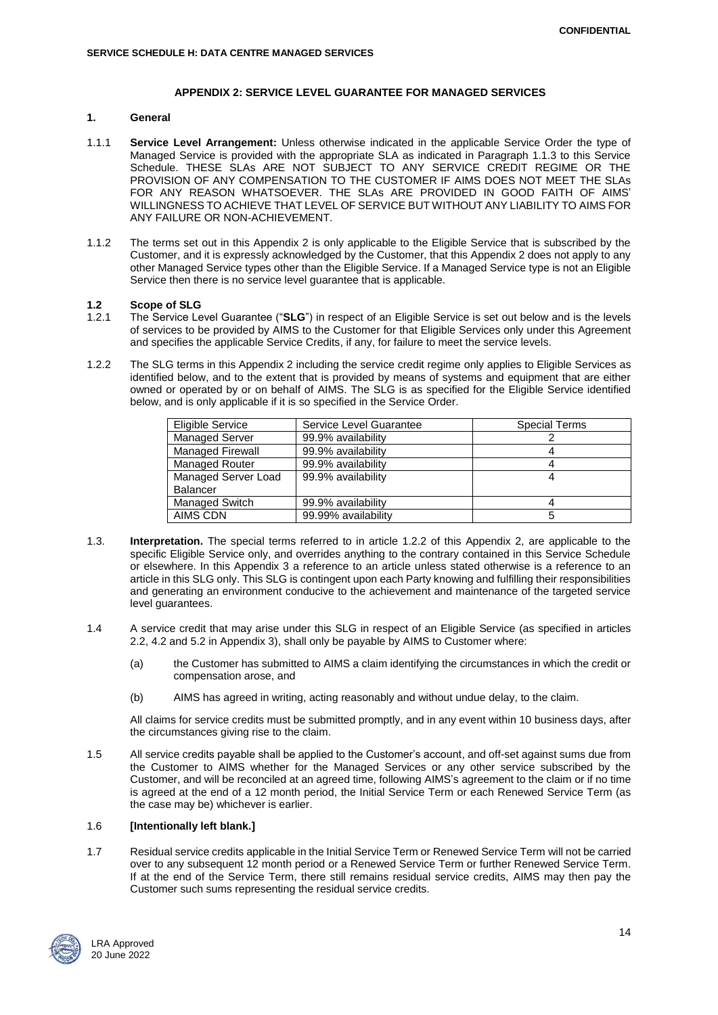#### **APPENDIX 2: SERVICE LEVEL GUARANTEE FOR MANAGED SERVICES**

## **1. General**

- 1.1.1 **Service Level Arrangement:** Unless otherwise indicated in the applicable Service Order the type of Managed Service is provided with the appropriate SLA as indicated in Paragraph 1.1.3 to this Service Schedule. THESE SLAs ARE NOT SUBJECT TO ANY SERVICE CREDIT REGIME OR THE PROVISION OF ANY COMPENSATION TO THE CUSTOMER IF AIMS DOES NOT MEET THE SLAs FOR ANY REASON WHATSOEVER. THE SLAs ARE PROVIDED IN GOOD FAITH OF AIMS' WILLINGNESS TO ACHIEVE THAT LEVEL OF SERVICE BUT WITHOUT ANY LIABILITY TO AIMS FOR ANY FAILURE OR NON-ACHIEVEMENT.
- 1.1.2 The terms set out in this Appendix 2 is only applicable to the Eligible Service that is subscribed by the Customer, and it is expressly acknowledged by the Customer, that this Appendix 2 does not apply to any other Managed Service types other than the Eligible Service. If a Managed Service type is not an Eligible Service then there is no service level guarantee that is applicable.

# **1.2 Scope of SLG**

- The Service Level Guarantee ("SLG") in respect of an Eligible Service is set out below and is the levels of services to be provided by AIMS to the Customer for that Eligible Services only under this Agreement and specifies the applicable Service Credits, if any, for failure to meet the service levels.
- 1.2.2 The SLG terms in this Appendix 2 including the service credit regime only applies to Eligible Services as identified below, and to the extent that is provided by means of systems and equipment that are either owned or operated by or on behalf of AIMS. The SLG is as specified for the Eligible Service identified below, and is only applicable if it is so specified in the Service Order.

| Eligible Service        | Service Level Guarantee | <b>Special Terms</b> |
|-------------------------|-------------------------|----------------------|
| <b>Managed Server</b>   | 99.9% availability      |                      |
| <b>Managed Firewall</b> | 99.9% availability      |                      |
| <b>Managed Router</b>   | 99.9% availability      |                      |
| Managed Server Load     | 99.9% availability      |                      |
| <b>Balancer</b>         |                         |                      |
| Managed Switch          | 99.9% availability      |                      |
| AIMS CDN                | 99.99% availability     |                      |

- 1.3. **Interpretation.** The special terms referred to in article 1.2.2 of this Appendix 2, are applicable to the specific Eligible Service only, and overrides anything to the contrary contained in this Service Schedule or elsewhere. In this Appendix 3 a reference to an article unless stated otherwise is a reference to an article in this SLG only. This SLG is contingent upon each Party knowing and fulfilling their responsibilities and generating an environment conducive to the achievement and maintenance of the targeted service level guarantees.
- 1.4 A service credit that may arise under this SLG in respect of an Eligible Service (as specified in articles 2.2, 4.2 and 5.2 in Appendix 3), shall only be payable by AIMS to Customer where:
	- (a) the Customer has submitted to AIMS a claim identifying the circumstances in which the credit or compensation arose, and
	- (b) AIMS has agreed in writing, acting reasonably and without undue delay, to the claim.

All claims for service credits must be submitted promptly, and in any event within 10 business days, after the circumstances giving rise to the claim.

1.5 All service credits payable shall be applied to the Customer's account, and off-set against sums due from the Customer to AIMS whether for the Managed Services or any other service subscribed by the Customer, and will be reconciled at an agreed time, following AIMS's agreement to the claim or if no time is agreed at the end of a 12 month period, the Initial Service Term or each Renewed Service Term (as the case may be) whichever is earlier.

## 1.6 **[Intentionally left blank.]**

1.7 Residual service credits applicable in the Initial Service Term or Renewed Service Term will not be carried over to any subsequent 12 month period or a Renewed Service Term or further Renewed Service Term. If at the end of the Service Term, there still remains residual service credits, AIMS may then pay the Customer such sums representing the residual service credits.